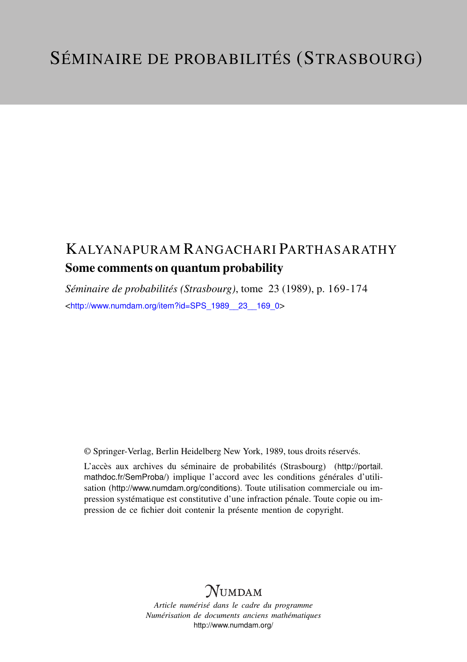## KALYANAPURAM RANGACHARI PARTHASARATHY Some comments on quantum probability

*Séminaire de probabilités (Strasbourg)*, tome 23 (1989), p. 169-174 <[http://www.numdam.org/item?id=SPS\\_1989\\_\\_23\\_\\_169\\_0](http://www.numdam.org/item?id=SPS_1989__23__169_0)>

© Springer-Verlag, Berlin Heidelberg New York, 1989, tous droits réservés.

L'accès aux archives du séminaire de probabilités (Strasbourg) ([http://portail.](http://portail.mathdoc.fr/SemProba/) [mathdoc.fr/SemProba/](http://portail.mathdoc.fr/SemProba/)) implique l'accord avec les conditions générales d'utilisation (<http://www.numdam.org/conditions>). Toute utilisation commerciale ou impression systématique est constitutive d'une infraction pénale. Toute copie ou impression de ce fichier doit contenir la présente mention de copyright.

## **NUMDAM**

*Article numérisé dans le cadre du programme Numérisation de documents anciens mathématiques* <http://www.numdam.org/>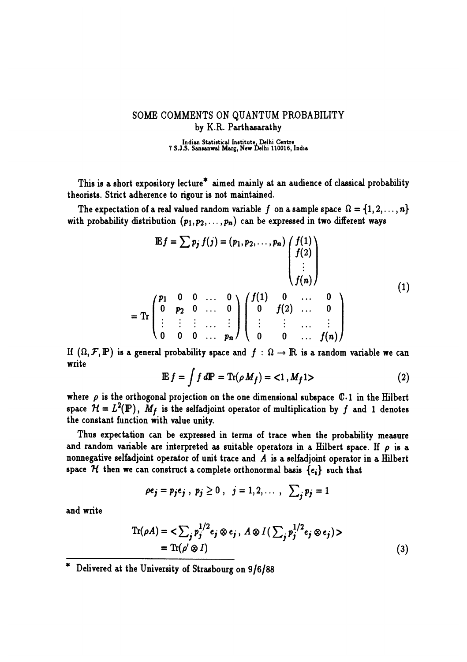## SOME COMMENTS ON QUANTUM PROBABILITY by K.R. Parthasarathy

Indian Statistical Institute, Delhi Centre 7 S.J.S. Sansanwal Marg, New Delhi 110016, India

This is a short expository lecture\* aimed mainly at an audience of classical probability theorists. Strict adherence to rigour is not maintained.

The expectation of a real valued random variable f on a sample space  $\Omega = \{1, 2, ..., n\}$ with probability distribution  $(p_1, p_2, \ldots, p_n)$  can be expressed in two different ways

$$
\mathbb{E}f = \sum p_j f(j) = (p_1, p_2, \dots, p_n) \begin{pmatrix} f(1) \\ f(2) \\ \vdots \\ f(n) \end{pmatrix}
$$
  
Tr 
$$
\begin{pmatrix} p_1 & 0 & 0 & \dots & 0 \\ 0 & p_2 & 0 & \dots & 0 \\ \vdots & \vdots & \vdots & \dots & \vdots \\ 0 & 0 & 0 & \dots & p_n \end{pmatrix} \begin{pmatrix} f(1) & 0 & \dots & 0 \\ 0 & f(2) & \dots & 0 \\ \vdots & \vdots & \dots & \vdots \\ 0 & 0 & \dots & f(n) \end{pmatrix}
$$
 (1)

If  $(\Omega, \mathcal{F}, \mathbb{P})$  is a general probability space and  $f : \Omega \to \mathbb{R}$  is a random variable we can write

$$
\mathbb{E} f = \int f \, d\mathbb{P} = \text{Tr}(\rho \, M_f) = \langle 1 \, , M_f 1 \rangle \tag{2}
$$

where  $\rho$  is the orthogonal projection on the one dimensional subspace  $\mathbb{C}\cdot 1$  in the Hilbert space  $\mathcal{H} = L^2(\mathbb{P})$ ,  $M_f$  is the selfadjoint operator of multiplication by f and 1 denotes the constant function with value unity.

Thus expectation can be expressed in terms of trace when the probability measure and random variable are interpreted as suitable operators in a Hilbert space. If  $\rho$  is a nonnegative selfadjoint operator of unit trace and  $A$  is a selfadjoint operator in a Hilbert space H then we can construct a complete orthonormal basis  $\{e_i\}$  such that

$$
\rho e_j = p_j e_j , p_j \geq 0 , j = 1, 2, \ldots , \sum_j p_j = 1
$$

and write

\_\_\_\_\_\_

$$
\operatorname{Tr}(\rho A) = \langle \sum_{j} p_j^{1/2} e_j \otimes e_j, A \otimes I(\sum_{j} p_j^{1/2} e_j \otimes e_j) \rangle
$$
  
=  $\operatorname{Tr}(\rho' \otimes I)$  (3)

Delivered at the University of Strasbourg on 9/6/88

 $=$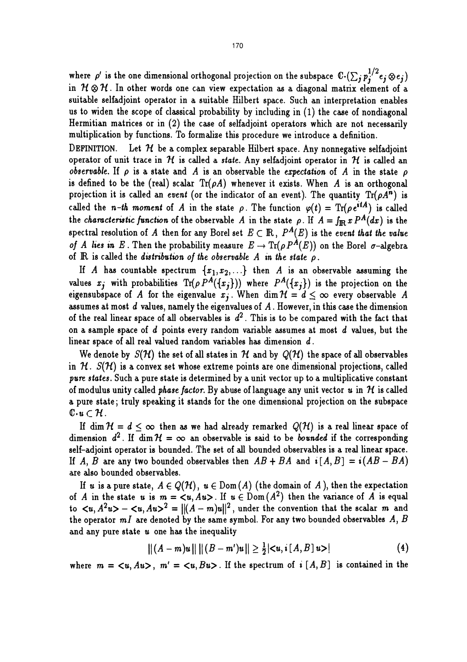where  $\rho'$  is the one dimensional orthogonal projection on the subspace  $\mathbb{C}\cdot(\sum_j p_j^{1/2}e_j\otimes e_j)$ in  $H \otimes H$ . In other words one can view expectation as a diagonal matrix element of a suitable selfadjoint operator in a suitable Hilbert space. Such an interpretation enables us to widen the scope of classical probability by including in  $(1)$  the case of nondiagonal Hermitian matrices or in (2) the case of selfadjoint operators which are not necessarily multiplication by functions. To formalize this procedure we introduce a definition.

DEFINITION. Let  $H$  be a complex separable Hilbert space. Any nonnegative selfadjoint operator of unit trace in  $H$  is called a state. Any selfadjoint operator in  $H$  is called an observable. If  $\rho$  is a state and A is an observable the expectation of A in the state  $\rho$ is defined to be the (real) scalar  $\text{Tr}(\rho A)$  whenever it exists. When A is an orthogonal projection it is called an event (or the indicator of an event). The quantity  $Tr(\rho A^n)$  is called the n-th moment of A in the state  $\rho$ . The function  $\varphi(t) = \text{Tr}(\rho e^{itA})$  is called the characteristic function of the observable A in the state  $\rho$ . If  $A = \int_{\mathbb{R}} x P^A(dx)$  is the spectral resolution of A then for any Borel set  $E \subset \mathbb{R}$ ,  $P^A(E)$  is the event that the value of A lies in E. Then the probability measure  $E \to \text{Tr}(\rho P^A(E))$  on the Borel  $\sigma$ -algebra of  $\mathbb R$  is called the distribution of the observable  $A$  in the state  $\rho$ .

If A has countable spectrum  $\{x_1, x_2, ...\}$  then A is an observable assuming the values  $x_j$  with probabilities  $\text{Tr}(\rho P^A(\{x_j\}))$  where  $P^A(\{x_j\})$  is the projection on the eigensubspace of A for the eigenvalue  $x_j$ . When dim  $\mathcal{H} = d \leq \infty$  every observable A assumes at most  $d$  values, namely the eigenvalues of  $A$ . However, in this case the dimension of the real linear space of all observables is  $d^2$ . This is to be compared with the fact that on a sample space of d points every random variable assumes at most d values, but the linear space of all real valued random variables has dimension d. .

We denote by  $S(\mathcal{H})$  the set of all states in H and by  $Q(\mathcal{H})$  the space of all observables in  $\mathcal{H}$ .  $S(\mathcal{H})$  is a convex set whose extreme points are one dimensional projections, called pure states. Such a pure state is determined by a unit vector up to a multiplicative constant of modulus unity called *phase factor*. By abuse of language any unit vector  $u$  in  $H$  is called a pure state; truly speaking it stands for the one dimensional projection on the subspace  $\mathbb{C}\cdot u\subset\mathcal{H}$ .

If dim  $\mathcal{H} = d \leq \infty$  then as we had already remarked  $Q(\mathcal{H})$  is a real linear space of dimension  $d^2$ . If dim  $H = \infty$  an observable is said to be *bounded* if the corresponding self-adjoint operator is bounded. The set of all bounded observables is a real linear space. If A, B are any two bounded observables then  $AB + BA$  and  $i[A, B] = i(AB - BA)$ are also bounded observables.

If u is a pure state,  $A \in Q(H)$ ,  $u \in Dom(A)$  (the domain of A), then the expectation of A in the state u is  $m = \langle u, Au \rangle$ . If  $u \in Dom (A^2)$  then the variance of A is equal to  $\langle u, A^2u \rangle - \langle u, Au \rangle^2 = ||(A-m)u||^2$ , under the convention that the scalar m and the operator  $mI$  are denoted by the same symbol. For any two bounded observables  $A, B$ and any pure state  $u$  one has the inequality

$$
||(A - m)u|| ||(B - m')u|| \ge \frac{1}{2} |\langle u, i[A, B] u \rangle|
$$
 (4)

where  $m = \langle u, Au \rangle$ ,  $m' = \langle u, Bu \rangle$ . If the spectrum of  $\mathfrak{a} [A, B]$  is contained in the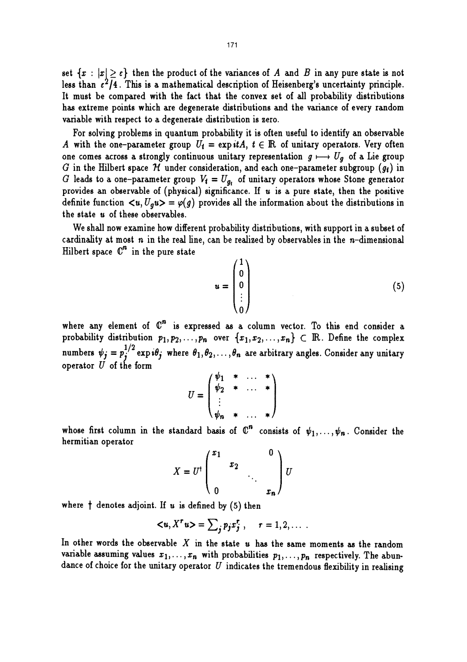set  $\{x : |x| \geq \varepsilon\}$  then the product of the variances of A and B in any pure state is not less than  $\epsilon^2/4$ . This is a mathematical description of Heisenberg's uncertainty principle. It must be compared with the fact that the convex set of all probability distributions has extreme points which are degenerate distributions and the variance of every random variable with respect to a degenerate distribution is zero.

For solving problems in quantum probability it is often useful to identify an observable A with the one-parameter group  $U_i = \exp itA$ ,  $t \in \mathbb{R}$  of unitary operators. Very often one comes across a strongly continuous unitary representation  $g \mapsto U_q$  of a Lie group G in the Hilbert space  $H$  under consideration, and each one-parameter subgroup  $(g_t)$  in G leads to a one-parameter group  $V_t = U_{g_t}$  of unitary operators whose Stone generator provides an observable of (physical) significance. If  $u$  is a pure state, then the positive definite function  $\langle u, U_q u \rangle = \varphi(g)$  provides all the information about the distributions in the state u of these observables.

We shall now examine how different probability distributions, with support in a subset of cardinality at most  $n$  in the real line, can be realized by observables in the  $n$ -dimensional Hilbert space  $\mathbb{C}^n$  in the pure state

$$
u = \begin{pmatrix} 1 \\ 0 \\ 0 \\ \vdots \\ 0 \end{pmatrix}
$$
 (5)

where any element of  $\mathbb{C}^n$  is expressed as a column vector. To this end consider a probability distribution  $p_1, p_2, \ldots, p_n$  over  $\{x_1, x_2, \ldots, x_n\} \subset \mathbb{R}$ . Define the complex numbers  $\psi_j = p_j^{1/2} \exp i\theta_j$  where  $\theta_1, \theta_2, \ldots, \theta_n$  are arbitrary angles. Consider any unitary operator  $U$  of the form

$$
U = \begin{pmatrix} \psi_1 & * & \dots & * \\ \psi_2 & * & \dots & * \\ \vdots & & & \\ \psi_n & * & \dots & * \end{pmatrix}
$$

whose first column in the standard basis of  $\mathbb{C}^n$  consists of  $\psi_1, \ldots, \psi_n$ . Consider the hermitian operator

$$
X = U^{\dagger} \begin{pmatrix} x_1 & & & 0 \\ & x_2 & & \\ & & \ddots & \\ 0 & & & x_n \end{pmatrix} U
$$

where  $\dagger$  denotes adjoint. If  $u$  is defined by (5) then

$$
\langle u, X^r u \rangle = \sum_j p_j x_j^r, \quad r = 1, 2, \dots
$$

In other words the observable X in the state  $u$  has the same moments as the random variable assuming values  $x_1, \ldots, x_n$  with probabilities  $p_1, \ldots, p_n$  respectively. The abundance of choice for the unitary operator  $U$  indicates the tremendous flexibility in realising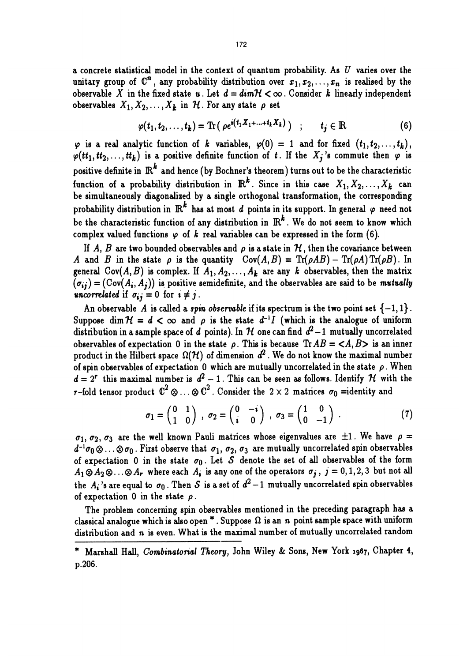a concrete statistical model in the context of quantum probability. As  $U$  varies over the unitary group of  $\mathbb{C}^n$ , any probability distribution over  $x_1, x_2, \ldots, x_n$  is realised by the observable X in the fixed state u. Let  $d = dim \mathcal{H} < \infty$ . Consider k linearly independent observables  $X_1, X_2, \ldots, X_k$  in H. For any state  $\rho$  set

$$
\varphi(t_1, t_2, \ldots, t_k) = \text{Tr}(\ \rho e^{i(t_1 X_1 + \ldots + t_k X_k)}) \quad ; \qquad t_j \in \mathbb{R} \tag{6}
$$

 $\varphi$  is a real analytic function of k variables,  $\varphi(0) = 1$  and for fixed  $(t_1, t_2, \ldots, t_k)$ , positive definite function of t. If the  $X_j$ 's commute then  $\varphi$  is positive definite in  $\mathbb{R}^k$  and hence (by Bochner's theorem) turns out to be the characteristic function of a probability distribution in  $\mathbb{R}^k$ . Since in this case  $X_1, X_2, \ldots, X_k$  can be simultaneously diagonalized by a single orthogonal transformation, the corresponding probability distribution in  $\mathbb{R}^k$  has at most d points in its support. In general  $\varphi$  need not be the characteristic function of any distribution in  $\mathbb{R}^k$ . We do not seem to know which complex valued functions  $\varphi$  of  $k$  real variables can be expressed in the form (6).

If A, B are two bounded observables and  $\rho$  is a state in H, then the covariance between A and B in the state  $\rho$  is the quantity  $Cov(A, B) = Tr(\rho AB) - Tr(\rho A) Tr(\rho B)$ . In general  $Cov(A, B)$  is complex. If  $A_1, A_2, \ldots, A_k$  are any k observables, then the matrix  $(\sigma_{ij}) = (Cov(A_i, A_j))$  is positive semidefinite, and the observables are said to be mutually uncorrelated if  $\sigma_{ij} = 0$  for  $i \neq j$ .

An observable A is called a spin observable if its spectrum is the two point set  $\{-1,1\}$ . Suppose dim  $H = d < \infty$  and  $\rho$  is the state  $d^{-1}I$  (which is the analogue of uniform distribution in a sample space of d points). In H one can find  $d^2-1$  mutually uncorrelated observables of expectation 0 in the state  $\rho$ . This is because  $\text{Tr} AB = \langle A, B \rangle$  is an inner product in the Hilbert space  $\Omega(H)$  of dimension  $d^2$ . We do not know the maximal number of spin observables of expectation 0 which are mutually uncorrelated in the state  $\rho$ . When  $d = 2^r$  this maximal number is  $d^2 - 1$ . This can be seen as follows. Identify H with the r-fold tensor product  $\mathbb{C}^2 \otimes \ldots \otimes \mathbb{C}^2$ . Consider the  $2 \times 2$  matrices  $\sigma_0$  =identity and

$$
\sigma_1 = \begin{pmatrix} 0 & 1 \\ 1 & 0 \end{pmatrix} , \sigma_2 = \begin{pmatrix} 0 & -i \\ i & 0 \end{pmatrix} , \sigma_3 = \begin{pmatrix} 1 & 0 \\ 0 & -1 \end{pmatrix} . \tag{7}
$$

 $\sigma_1$ ,  $\sigma_2$ ,  $\sigma_3$  are the well known Pauli matrices whose eigenvalues are  $\pm 1$ . We have  $\rho =$  $d^{-1}\sigma_0\otimes\ldots\otimes\sigma_0$ . First observe that  $\sigma_1$ ,  $\sigma_2$ ,  $\sigma_3$  are mutually uncorrelated spin observables of expectation 0 in the state  $\sigma_0$ . Let S denote the set of all observables of the form  $A_1 \otimes A_2 \otimes \ldots \otimes A_r$  where each  $A_i$  is any one of the operators  $\sigma_j$ ,  $j = 0, 1, 2, 3$  but not all the  $A_i$ 's are equal to  $\sigma_0$ . Then S is a set of  $d^2-1$  mutually uncorrelated spin observables of expectation 0 in the state  $\rho$ .

The problem concerning spin observables mentioned in the preceding paragraph has a classical analogue which is also open  $*$ . Suppose  $\Omega$  is an n point sample space with uniform distribution and n is even. What is the maximal number of mutually uncorrelated random

Marshall Hall, Combinatorial Theory, John Wiley & Sons, New York 1967, Chapter 4, p.206.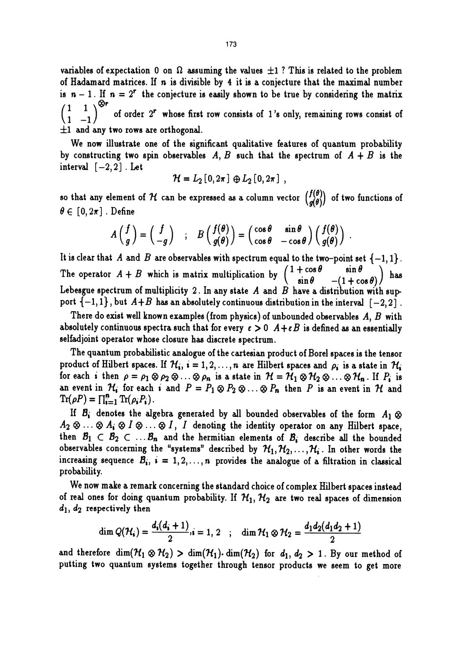variables of expectation 0 on  $\Omega$  assuming the values  $\pm 1$ ? This is related to the problem of Hadamard matrices. If  $n$  is divisible by 4 it is a conjecture that the maximal number is  $n - 1$ . If  $n = 2<sup>r</sup>$  the conjecture is easily shown to be true by considering the matrix  $\begin{pmatrix} 1 & 1 \\ 1 & -1 \end{pmatrix}$  of order 2<sup>r</sup> whose first row consists of 1's only, remaining rows consist of  $\pm 1$  and any two rows are orthogonal.

We now illustrate one of the significant qualitative features of quantum probability by constructing two spin observables A, B such that the spectrum of  $A + B$  is the interval  $[-2,2]$ . Let

$$
\mathcal{H}=L_2\left[0,2\pi\right]\,\oplus L_2\left[0,2\pi\right]\,,
$$

so that any element of H can be expressed as a column vector  $\begin{pmatrix} f(\theta) \\ g(\theta) \end{pmatrix}$  of two functions of  $\theta \in [0, 2\pi]$ . Define

$$
A\begin{pmatrix}f\\g\end{pmatrix}=\begin{pmatrix}f\\-g\end{pmatrix} \quad ; \quad B\begin{pmatrix}f(\theta)\\g(\theta)\end{pmatrix}=\begin{pmatrix}\cos\theta & \sin\theta\\cos\theta & -\cos\theta\end{pmatrix}\begin{pmatrix}f(\theta)\\g(\theta)\end{pmatrix}.
$$

It is clear that A and B are observables with spectrum equal to the two-point set  $\{-1,1\}$ .<br>The operator  $A + B$  which is matrix multiplication by  $\begin{pmatrix} 1 + \cos \theta & \sin \theta \\ \sin \theta & -(1 + \cos \theta) \end{pmatrix}$  has The operator  $A + B$  which is matrix multiplication by  $\begin{pmatrix} 1 + \cos \theta \\ \sin \theta \end{pmatrix}$ Lebesgue spectrum of multiplicity 2. In any state  $A$  and  $B$  have a distribution with support  $\{-1,1\}$ , but  $A+B$  has an absolutely continuous distribution in the interval  $[-2, 2]$ .

There do exist well known examples (from physics) of unbounded observables  $A, B$  with absolutely continuous spectra such that for every  $\epsilon > 0$   $A + \epsilon B$  is defined as an essentially selfadjoint operator whose closure has discrete spectrum.

The quantum probabilistic analogue of the cartesian product of Borel spaces is the tensor product of Hilbert spaces. If  $\mathcal{H}_i$ ,  $i = 1, 2, ..., n$  are Hilbert spaces and  $\rho_i$  is a state in  $\mathcal{H}_i$ for each *i* then  $\rho = \rho_1 \otimes \rho_2 \otimes ... \otimes \rho_n$  is a state in  $\mathcal{H} = \mathcal{H}_1 \otimes \mathcal{H}_2 \otimes ... \otimes \mathcal{H}_n$ . If  $P_i$  is an event in  $\mathcal{H}_i$  for each i and  $P = P_1 \otimes P_2 \otimes \ldots \otimes P_n$  then P is an event in  $\mathcal{H}$  and  $\text{Tr}(\rho P) = \prod_{i=1}^n \text{Tr}(\rho_i P_i)$ .

If  $B_i$  denotes the algebra generated by all bounded observables of the form  $A_1 \otimes$  $A_2 \otimes \ldots \otimes A_i \otimes I \otimes \ldots \otimes I$ , I denoting the identity operator on any Hilbert space, then  $B_1 \subset B_2 \subset \ldots B_n$  and the hermitian elements of  $B_i$  describe all the bounded observables concerning the "systems" described by  $\mathcal{H}_1, \mathcal{H}_2, \ldots, \mathcal{H}_i$ . In other words the increasing sequence  $B_i$ ,  $i = 1, 2, ..., n$  provides the analogue of a filtration in classical probability.

We now make a remark concerning the standard choice of complex Hilbert spaces instead of real ones for doing quantum probability. If  $\mathcal{H}_1$ ,  $\mathcal{H}_2$  are two real spaces of dimension  $d_1, d_2$  respectively then

$$
\dim Q(\mathcal{H}_i) = \frac{d_i(d_i+1)}{2}, i = 1, 2 \quad ; \quad \dim \mathcal{H}_1 \otimes \mathcal{H}_2 = \frac{d_1 d_2(d_1 d_2 + 1)}{2}
$$

and therefore dim $(\mathcal{H}_1 \otimes \mathcal{H}_2) > \dim(\mathcal{H}_1)$  dim $(\mathcal{H}_2)$  for  $d_1, d_2 > 1$ . By our method of putting two quantum systems together through tensor products we seem to get more